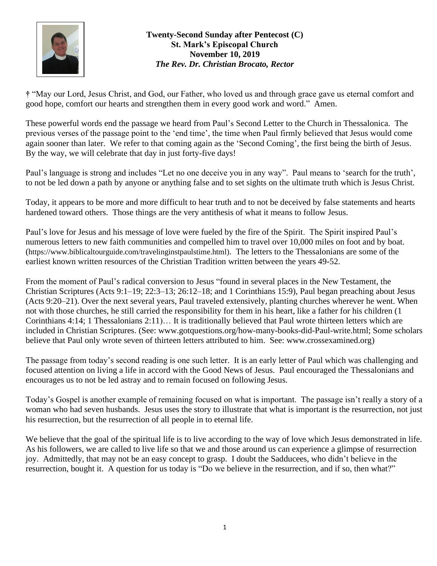

## **Twenty-Second Sunday after Pentecost (C) St. Mark's Episcopal Church November 10, 2019** *The Rev. Dr. Christian Brocato, Rector*

**†** "May our Lord, Jesus Christ, and God, our Father, who loved us and through grace gave us eternal comfort and good hope, comfort our hearts and strengthen them in every good work and word." Amen.

These powerful words end the passage we heard from Paul's Second Letter to the Church in Thessalonica. The previous verses of the passage point to the 'end time', the time when Paul firmly believed that Jesus would come again sooner than later. We refer to that coming again as the 'Second Coming', the first being the birth of Jesus. By the way, we will celebrate that day in just forty-five days!

Paul's language is strong and includes "Let no one deceive you in any way". Paul means to 'search for the truth', to not be led down a path by anyone or anything false and to set sights on the ultimate truth which is Jesus Christ.

Today, it appears to be more and more difficult to hear truth and to not be deceived by false statements and hearts hardened toward others. Those things are the very antithesis of what it means to follow Jesus.

Paul's love for Jesus and his message of love were fueled by the fire of the Spirit. The Spirit inspired Paul's numerous letters to new faith communities and compelled him to travel over 10,000 miles on foot and by boat. ([https://www.biblicaltourguide.com/travelinginstpaulstime.html\)](https://www.biblicaltourguide.com/travelinginstpaulstime.html). The letters to the Thessalonians are some of the earliest known written resources of the Christian Tradition written between the years 49-52.

From the moment of Paul's radical conversion to Jesus "found in several places in the New Testament, the Christian Scriptures [\(Acts 9:1–19;](https://biblia.com/bible/esv/Acts%209.1%E2%80%9319) [22:3–13;](https://biblia.com/bible/esv/Acts%2022.3%E2%80%9313) [26:12–18;](https://biblia.com/bible/esv/Acts%2026.12%E2%80%9318) and [1 Corinthians 15:9\)](https://biblia.com/bible/esv/1%20Cor%2015.9), Paul began preaching about Jesus [\(Acts 9:20–21\)](https://biblia.com/bible/esv/Acts%209.20%E2%80%9321). Over the next several years, Paul traveled extensively, planting churches wherever he went. When not with those churches, he still carried the responsibility for them in his heart, like a father for his children [\(1](https://biblia.com/bible/esv/1%20Cor%204.14)  [Corinthians 4:14;](https://biblia.com/bible/esv/1%20Cor%204.14) [1 Thessalonians 2:11\)](https://biblia.com/bible/esv/1%20Thess%202.11)… It is traditionally believed that Paul wrote thirteen letters which are included in Christian Scriptures. [\(See: www.gotquestions.org/how-many-books-did-Paul-write.html;](http://See:%20www.gotquestions.org/how-many-books-did-Paul-write.html) Some scholars believe that Paul only wrote seven of thirteen letters attributed to him. See: [www.crossexamined.org\)](http://www.crossexamined.org/)

The passage from today's second reading is one such letter. It is an early letter of Paul which was challenging and focused attention on living a life in accord with the Good News of Jesus. Paul encouraged the Thessalonians and encourages us to not be led astray and to remain focused on following Jesus.

Today's Gospel is another example of remaining focused on what is important. The passage isn't really a story of a woman who had seven husbands. Jesus uses the story to illustrate that what is important is the resurrection, not just his resurrection, but the resurrection of all people in to eternal life.

We believe that the goal of the spiritual life is to live according to the way of love which Jesus demonstrated in life. As his followers, we are called to live life so that we and those around us can experience a glimpse of resurrection joy. Admittedly, that may not be an easy concept to grasp. I doubt the Sadducees, who didn't believe in the resurrection, bought it. A question for us today is "Do we believe in the resurrection, and if so, then what?"